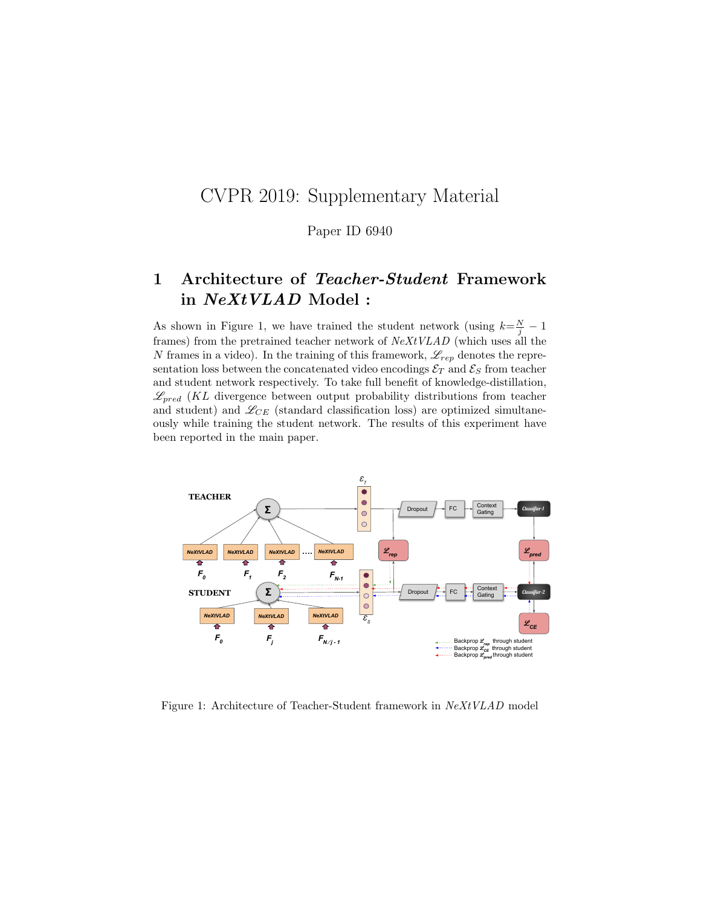## CVPR 2019: Supplementary Material

Paper ID 6940

## 1 Architecture of Teacher-Student Framework in NeXtVLAD Model :

As shown in Figure 1, we have trained the student network (using  $k = \frac{N}{j} - 1$ frames) from the pretrained teacher network of NeXtVLAD (which uses all the N frames in a video). In the training of this framework,  $\mathscr{L}_{rep}$  denotes the representation loss between the concatenated video encodings  $\mathcal{E}_T$  and  $\mathcal{E}_S$  from teacher and student network respectively. To take full benefit of knowledge-distillation,  $\mathscr{L}_{pred}$  (KL divergence between output probability distributions from teacher and student) and  $\mathscr{L}_{CE}$  (standard classification loss) are optimized simultaneously while training the student network. The results of this experiment have been reported in the main paper.



Figure 1: Architecture of Teacher-Student framework in NeXtVLAD model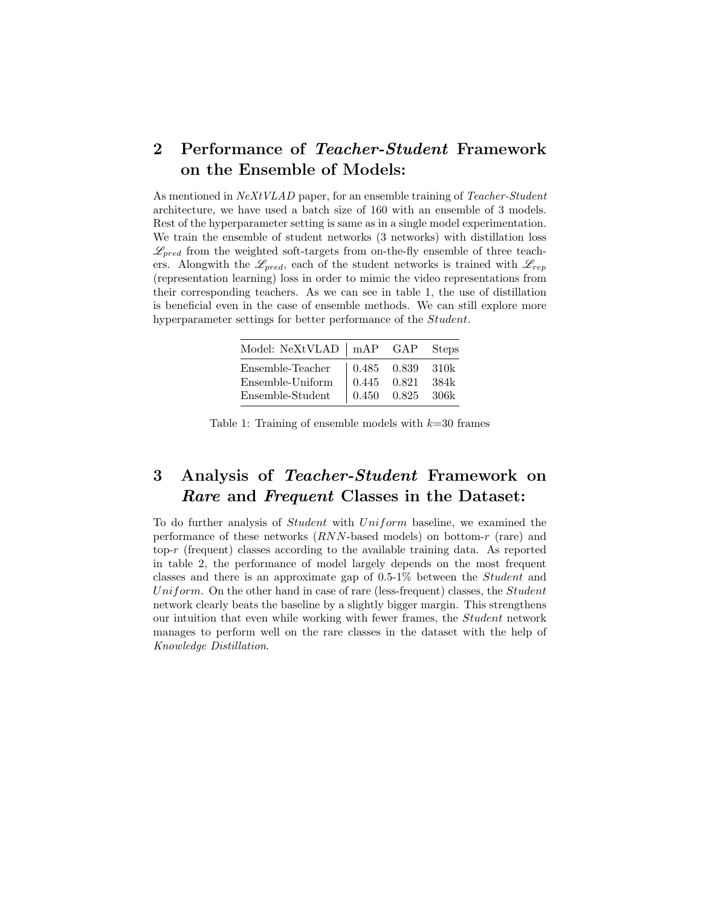## 2 Performance of Teacher-Student Framework on the Ensemble of Models:

As mentioned in NeXtVLAD paper, for an ensemble training of Teacher-Student architecture, we have used a batch size of 160 with an ensemble of 3 models. Rest of the hyperparameter setting is same as in a single model experimentation. We train the ensemble of student networks (3 networks) with distillation loss  $\mathscr{L}_{pred}$  from the weighted soft-targets from on-the-fly ensemble of three teachers. Alongwith the  $\mathscr{L}_{pred}$ , each of the student networks is trained with  $\mathscr{L}_{rep}$ (representation learning) loss in order to mimic the video representations from their corresponding teachers. As we can see in table 1, the use of distillation is beneficial even in the case of ensemble methods. We can still explore more hyperparameter settings for better performance of the Student.

| Model: NeXtVLAD   mAP GAP |                                               |                                                      | <b>Steps</b> |
|---------------------------|-----------------------------------------------|------------------------------------------------------|--------------|
| Ensemble-Teacher          | $\begin{array}{ l} 0.485 & 0.839 \end{array}$ |                                                      | 310k         |
| Ensemble-Uniform          | $\begin{array}{ c} 0.445 & 0.821 \end{array}$ |                                                      | 384k         |
| Ensemble-Student          |                                               | $\begin{array}{ l} 0.450 & 0.825 & 306k \end{array}$ |              |

Table 1: Training of ensemble models with  $k=30$  frames

## 3 Analysis of Teacher-Student Framework on Rare and Frequent Classes in the Dataset:

To do further analysis of Student with Uniform baseline, we examined the performance of these networks (RNN-based models) on bottom-r (rare) and top- $r$  (frequent) classes according to the available training data. As reported in table 2, the performance of model largely depends on the most frequent classes and there is an approximate gap of 0.5-1% between the Student and Uniform. On the other hand in case of rare (less-frequent) classes, the Student network clearly beats the baseline by a slightly bigger margin. This strengthens our intuition that even while working with fewer frames, the Student network manages to perform well on the rare classes in the dataset with the help of Knowledge Distillation.